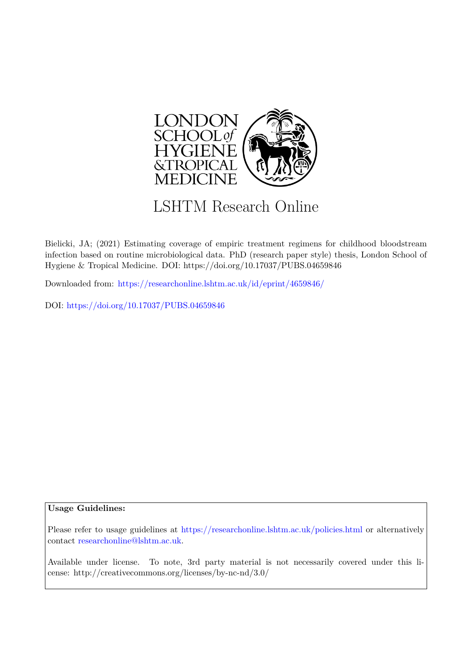

## LSHTM Research Online

Bielicki, JA; (2021) Estimating coverage of empiric treatment regimens for childhood bloodstream infection based on routine microbiological data. PhD (research paper style) thesis, London School of Hygiene & Tropical Medicine. DOI: https://doi.org/10.17037/PUBS.04659846

Downloaded from: <https://researchonline.lshtm.ac.uk/id/eprint/4659846/>

DOI: https://doi.org/10.17037/PUBS.04659846

## **Usage Guidelines:**

Please refer to usage guidelines at <https://researchonline.lshtm.ac.uk/policies.html> or alternatively contact [researchonline@lshtm.ac.uk.](mailto:researchonline@lshtm.ac.uk)

Available under license. To note, 3rd party material is not necessarily covered under this license: http://creativecommons.org/licenses/by-nc-nd/3.0/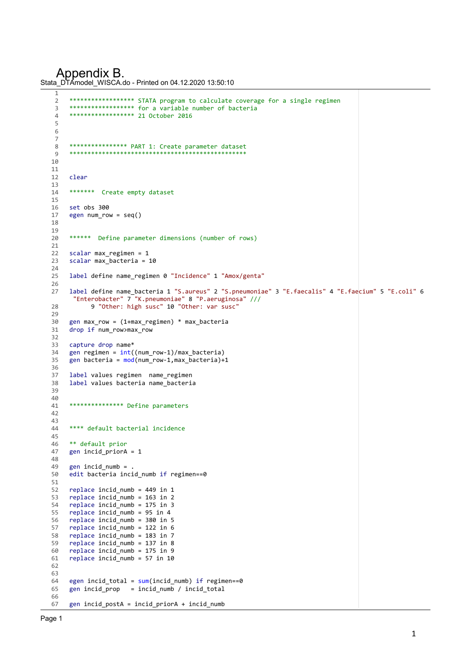Appendix B.

```
Stata_DTAmodel_WISCA.do - Printed on 04.12.2020 13:50:10
```

```
\frac{1}{2}2 ****************** STATA program to calculate coverage for a single regimen
-<br>3 ******************* for a variable number of bacteria<br>4 ***************** 21 October 2016
      4 ****************** 21 October 2016
5 
 6 
\frac{7}{8}8 **************** PART 1: Create parameter dataset
     *****************
10 
11 
12 clear
13 
14 ******* Create empty dataset
15 
16 set obs 300
17 egen num row = seq()18 
\frac{19}{20}****** Define parameter dimensions (number of rows)
\frac{21}{22}scalar max_regimen = 1
23 scalar max bacteria = 10
24<br>25label define name_regimen 0 "Incidence" 1 "Amox/genta"
26<br>27
     27 label define name_bacteria 1 "S.aureus" 2 "S.pneumoniae" 3 "E.faecalis" 4 "E.faecium" 5 "E.coli" 6
       "Enterobacter" 7 "K.pneumoniae" 8 "P.aeruginosa" /// 
28 9 "Other: high susc" 10 "Other: var susc"
29 
30 gen max_row = (1 + max\_regimen) * max_bacteria31 drop if num_row>max_row
32<br>33
     capture drop name*
34 gen regimen = int((num_row-1)/max_bacteria)<br>35 gen bacteria = mod(num row-1,max_bacteria)+
     gen bacteria = mod(num row-1, max bacteria)+1
36 
37 label values regimen name_regimen
     label values bacteria name bacteria
39 
4041 *************** Define parameters
42 
43 
     **** default bacterial incidence
45 
46 ** default prior
47 gen incid priorA = 148 
49 gen incid_numb =<br>50 edit bacteria inc
     \frac{1}{100} edit bacteria incid numb if regimen==0
51<br>52
     replace incid_numb = 449 in 1
53 replace incid numb = 163 in 2
54 replace incid numb = 175 in 3
55 replace incid_numb = 95 in 4
56 replace incid numb = 380 in 5
57 replace incid_numb = 122 in 6<br>58 replace incid numb = 183 in 7
58 replace incid_number = 183 in 7<br>59 replace incid numb = 137 in 8
     replace incid_numb = 137 in 8
60 replace incid_numb = 175 in 9
61 replace incid-numb = 57 in 10
62 
63 
64 egen incid_total = sum(int\_nd_numb) if regimen==0<br>65 gen incid prop = incid numb / incid total
     gen \text{ } incid\_prop = incid\_numb / incid\_total66 
67 gen incid_postA = incid_priorA + incid_numb
```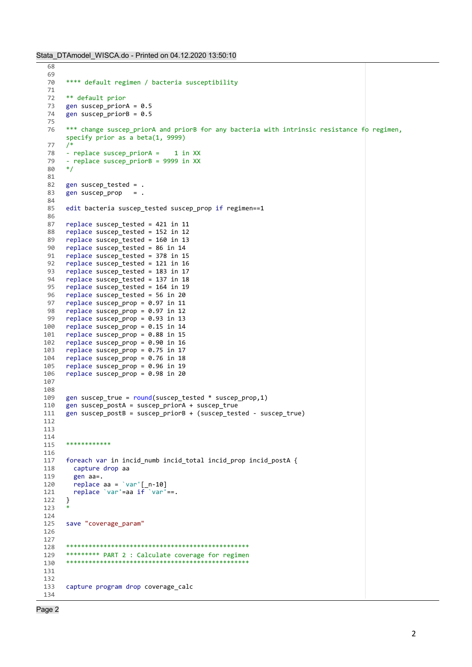```
68 
 69<br>70
       **** default regimen / bacteria susceptibility
 71 
 72 ** default prior
 73 gen suscep_priorA = 0.5<br>74 gen suscep priorB = 0.5gen suscep_priorB = 0.575 
 76 *** change suscep_priorA and priorB for any bacteria with intrinsic resistance fo regimen, 
       specify prior as a beta(1, 9999)
 77 /*
 78 - replace suscep priorA = 1 in XX
 79 - replace suscep_priorB = 9999 in XX<br>80 */80
 81 
 82 gen suscep tested = .
 83 gen suscep_prop = .
 84 
 85 edit bacteria suscep_tested suscep_prop if regimen==1
 86 
 87 replace suscep_tested = 421 in 11<br>88 replace suscep tested = 152 in 12
       replace suscep_tested = 152 in 12
 89 replace suscep tested = 160 in 13
 90 replace suscep_tested = 86 in 14
 91 replace suscep_tested = 378 in 15
 92 replace suscep_tested = 121 in 16
 93 replace suscep_tested = 183 in 17
 94 replace suscep_tested = 137 in 18<br>95 replace suscep tested = 164 in 19
       replace suscep tested = 164 in 19
 96 replace suscep_tested = 56 in 20<br>97 replace suscep prop = 0.97 in 11
       replace suscep_prop = 0.97 in 11
 98 replace suscep_prop = 0.97 in 12<br>99 replace suscep prop = 0.93 in 13
       replace suscep_prop = 0.93 in 13
100 replace suscep_prop = 0.15 in 14
101 replace suscep_prop = 0.88 in 15
102 replace suscep_prop = 0.90 in 16
103 replace suscep_prop = 0.75 in 17<br>104 replace suscep prop = 0.76 in 18
       replace suscep prop = 0.76 in 18
105 replace suscep_prop = 0.96 in 19<br>106 replace suscep prop = 0.98 in 20
       replace suscep_prop = 0.98 in 20
107 
108
109 gen suscep_true = round(suscep\_tested * suscep\_prop,1)<br>110 gen suscep_postA = suscep_priorA + suscep_true
       gen suscep_postA = suscep_priorA + suscep_true
111 gen suscep postB = suscep priorB + (suscep_tested - suscep_true)
112 
113 
114 
       ***********
116 
117 foreach var in incid numb incid total incid prop incid postA {
118 capture drop aa
119 gen aa=.
120 replace aa = `var'[-n-10]<br>121 replace `var'=aa if `var'
         replace \text{`var' = aa if \text{`var' ==.}}122 }
123
124 
125 save "coverage_param"
126 
127 
128 *************************************************
129 ********* PART 2 : Calculate coverage for regimen
130 *************************************************
131 
132 
133 capture program drop coverage calc
134
```